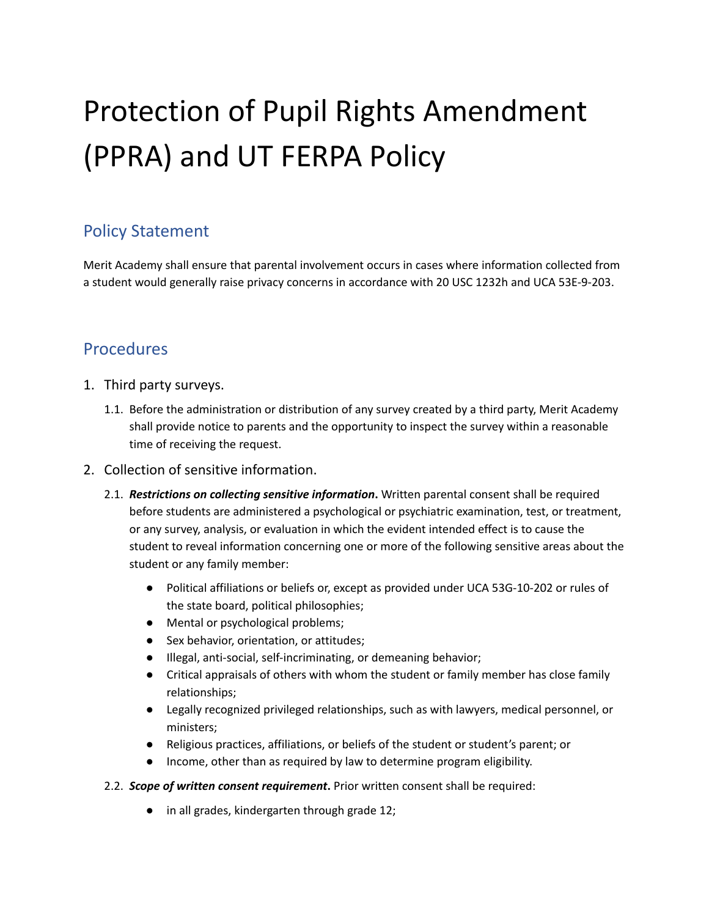# Protection of Pupil Rights Amendment (PPRA) and UT FERPA Policy

## Policy Statement

Merit Academy shall ensure that parental involvement occurs in cases where information collected from a student would generally raise privacy concerns in accordance with 20 USC 1232h and UCA 53E-9-203.

## Procedures

- 1. Third party surveys.
	- 1.1. Before the administration or distribution of any survey created by a third party, Merit Academy shall provide notice to parents and the opportunity to inspect the survey within a reasonable time of receiving the request.
- 2. Collection of sensitive information.
	- 2.1. *Restrictions on collecting sensitive information***.** Written parental consent shall be required before students are administered a psychological or psychiatric examination, test, or treatment, or any survey, analysis, or evaluation in which the evident intended effect is to cause the student to reveal information concerning one or more of the following sensitive areas about the student or any family member:
		- Political affiliations or beliefs or, except as provided under UCA 53G-10-202 or rules of the state board, political philosophies;
		- Mental or psychological problems;
		- Sex behavior, orientation, or attitudes;
		- Illegal, anti-social, self-incriminating, or demeaning behavior;
		- Critical appraisals of others with whom the student or family member has close family relationships;
		- Legally recognized privileged relationships, such as with lawyers, medical personnel, or ministers;
		- Religious practices, affiliations, or beliefs of the student or student's parent; or
		- Income, other than as required by law to determine program eligibility.
	- 2.2. *Scope of written consent requirement***.** Prior written consent shall be required:
		- **●** in all grades, kindergarten through grade 12;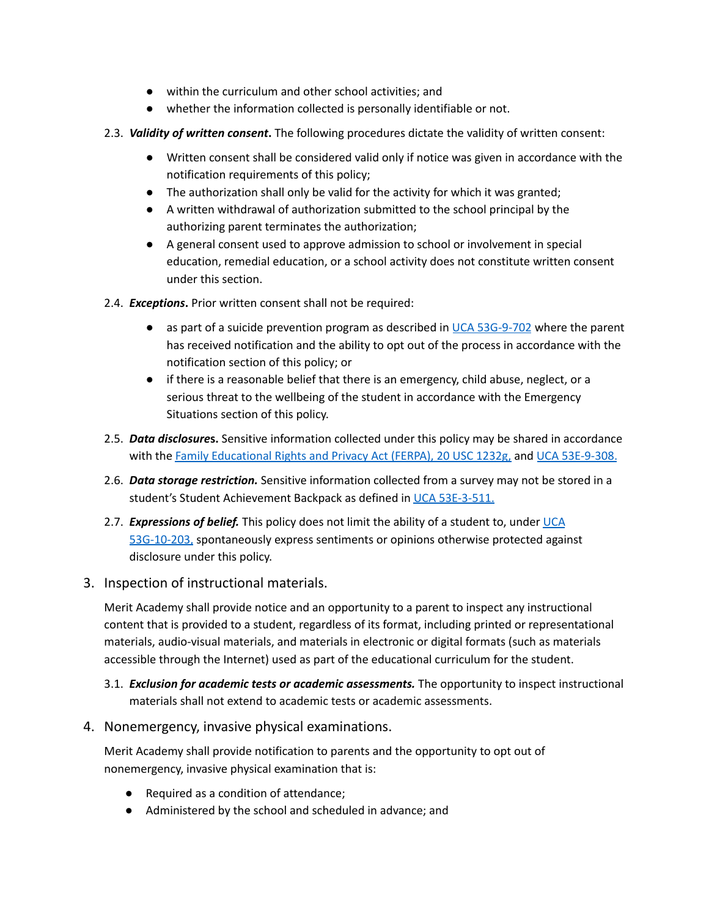- within the curriculum and other school activities; and
- whether the information collected is personally identifiable or not.
- 2.3. *Validity of written consent***.** The following procedures dictate the validity of written consent:
	- Written consent shall be considered valid only if notice was given in accordance with the notification requirements of this policy;
	- The authorization shall only be valid for the activity for which it was granted;
	- A written withdrawal of authorization submitted to the school principal by the authorizing parent terminates the authorization;
	- A general consent used to approve admission to school or involvement in special education, remedial education, or a school activity does not constitute written consent under this section.
- 2.4. *Exceptions***.** Prior written consent shall not be required:
	- as part of a suicide prevention program as described in UCA [53G-9-702](https://le.utah.gov/xcode/Title53G/Chapter9/53G-9-S702.html?v=C53G-9-S702_2019051420190514) where the parent has received notification and the ability to opt out of the process in accordance with the notification section of this policy; or
	- if there is a reasonable belief that there is an emergency, child abuse, neglect, or a serious threat to the wellbeing of the student in accordance with the Emergency Situations section of this policy.
- 2.5. *Data disclosure***s.** Sensitive information collected under this policy may be shared in accordance with the Family [Educational](https://www.law.cornell.edu/uscode/text/20/1232g) Rights and Privacy Act (FERPA), 20 USC 1232g, and UCA [53E-9-308.](https://le.utah.gov/xcode/Title53E/Chapter9/53E-9-S308.html?v=C53E-9-S308_2019051420190514)
- 2.6. *Data storage restriction.* Sensitive information collected from a survey may not be stored in a student's Student Achievement Backpack as defined in UCA [53E-3-511.](https://le.utah.gov/xcode/Title53E/Chapter3/53E-3-S511.html?v=C53E-3-S511_2019051420190514)
- 2.7. *Expressions of belief.* This policy does not limit the ability of a student to, under [UCA](https://le.utah.gov/xcode/Title53G/Chapter10/53G-10-S203.html?v=C53G-10-S203_2018012420180124) [53G-10-203,](https://le.utah.gov/xcode/Title53G/Chapter10/53G-10-S203.html?v=C53G-10-S203_2018012420180124) spontaneously express sentiments or opinions otherwise protected against disclosure under this policy.
- 3. Inspection of instructional materials.

Merit Academy shall provide notice and an opportunity to a parent to inspect any instructional content that is provided to a student, regardless of its format, including printed or representational materials, audio-visual materials, and materials in electronic or digital formats (such as materials accessible through the Internet) used as part of the educational curriculum for the student.

3.1. *Exclusion for academic tests or academic assessments.* The opportunity to inspect instructional materials shall not extend to academic tests or academic assessments.

#### 4. Nonemergency, invasive physical examinations.

Merit Academy shall provide notification to parents and the opportunity to opt out of nonemergency, invasive physical examination that is:

- Required as a condition of attendance;
- Administered by the school and scheduled in advance; and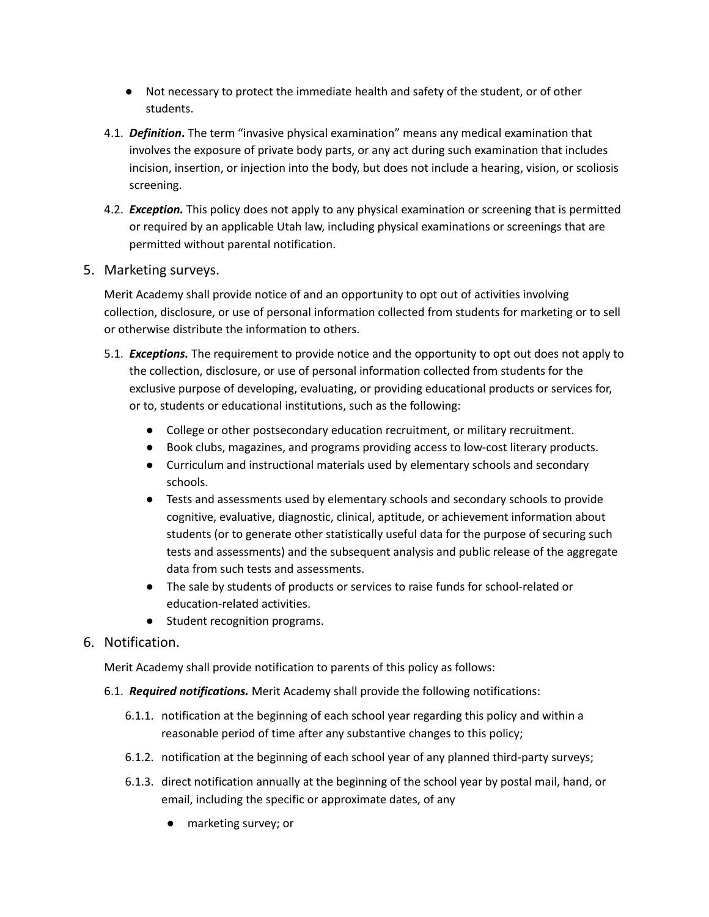- Not necessary to protect the immediate health and safety of the student, or of other students.
- 4.1. *Definition***.** The term "invasive physical examination" means any medical examination that involves the exposure of private body parts, or any act during such examination that includes incision, insertion, or injection into the body, but does not include a hearing, vision, or scoliosis screening.
- 4.2. *Exception.* This policy does not apply to any physical examination or screening that is permitted or required by an applicable Utah law, including physical examinations or screenings that are permitted without parental notification.

#### 5. Marketing surveys.

Merit Academy shall provide notice of and an opportunity to opt out of activities involving collection, disclosure, or use of personal information collected from students for marketing or to sell or otherwise distribute the information to others.

- 5.1. *Exceptions.* The requirement to provide notice and the opportunity to opt out does not apply to the collection, disclosure, or use of personal information collected from students for the exclusive purpose of developing, evaluating, or providing educational products or services for, or to, students or educational institutions, such as the following:
	- College or other postsecondary education recruitment, or military recruitment.
	- Book clubs, magazines, and programs providing access to low-cost literary products.
	- Curriculum and instructional materials used by elementary schools and secondary schools.
	- Tests and assessments used by elementary schools and secondary schools to provide cognitive, evaluative, diagnostic, clinical, aptitude, or achievement information about students (or to generate other statistically useful data for the purpose of securing such tests and assessments) and the subsequent analysis and public release of the aggregate data from such tests and assessments.
	- The sale by students of products or services to raise funds for school-related or education-related activities.
	- Student recognition programs.

### 6. Notification.

Merit Academy shall provide notification to parents of this policy as follows:

- 6.1. *Required notifications.* Merit Academy shall provide the following notifications:
	- 6.1.1. notification at the beginning of each school year regarding this policy and within a reasonable period of time after any substantive changes to this policy;
	- 6.1.2. notification at the beginning of each school year of any planned third-party surveys;
	- 6.1.3. direct notification annually at the beginning of the school year by postal mail, hand, or email, including the specific or approximate dates, of any
		- marketing survey; or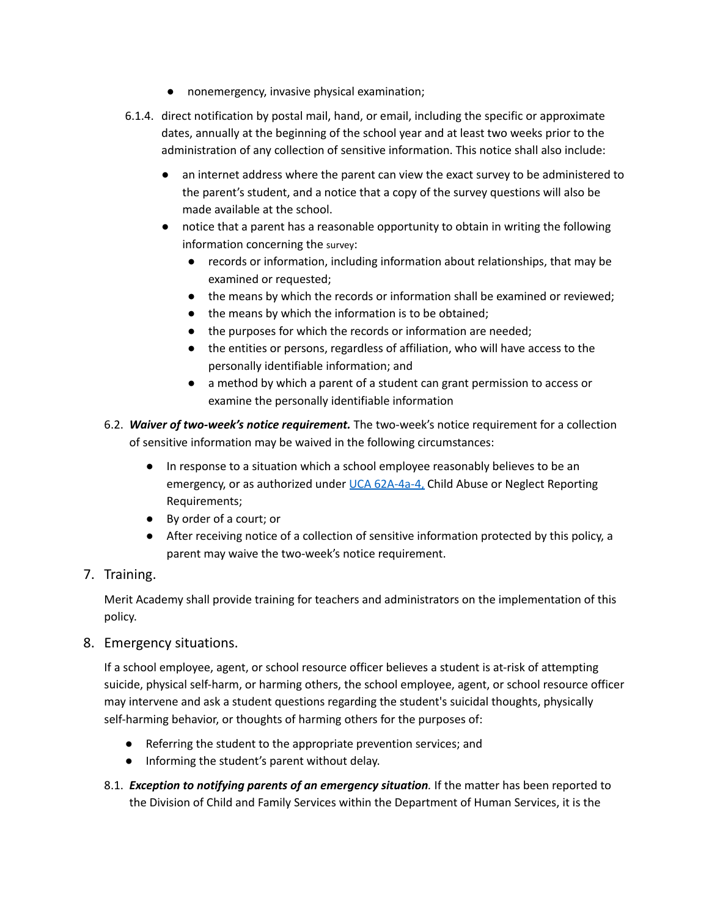- nonemergency, invasive physical examination;
- 6.1.4. direct notification by postal mail, hand, or email, including the specific or approximate dates, annually at the beginning of the school year and at least two weeks prior to the administration of any collection of sensitive information. This notice shall also include:
	- an internet address where the parent can view the exact survey to be administered to the parent's student, and a notice that a copy of the survey questions will also be made available at the school.
	- notice that a parent has a reasonable opportunity to obtain in writing the following information concerning the survey:
		- records or information, including information about relationships, that may be examined or requested;
		- the means by which the records or information shall be examined or reviewed;
		- the means by which the information is to be obtained;
		- the purposes for which the records or information are needed;
		- the entities or persons, regardless of affiliation, who will have access to the personally identifiable information; and
		- a method by which a parent of a student can grant permission to access or examine the personally identifiable information
- 6.2. *Waiver of two-week's notice requirement.* The two-week's notice requirement for a collection of sensitive information may be waived in the following circumstances:
	- In response to a situation which a school employee reasonably believes to be an emergency, or as authorized under UCA [62A-4a-4,](https://le.utah.gov/xcode/Title62A/Chapter4A/62A-4a-P4.html) Child Abuse or Neglect Reporting Requirements;
	- By order of a court; or
	- After receiving notice of a collection of sensitive information protected by this policy, a parent may waive the two-week's notice requirement.
- 7. Training.

Merit Academy shall provide training for teachers and administrators on the implementation of this policy.

8. Emergency situations.

If a school employee, agent, or school resource officer believes a student is at-risk of attempting suicide, physical self-harm, or harming others, the school employee, agent, or school resource officer may intervene and ask a student questions regarding the student's suicidal thoughts, physically self-harming behavior, or thoughts of harming others for the purposes of:

- Referring the student to the appropriate prevention services; and
- Informing the student's parent without delay.
- 8.1. *Exception to notifying parents of an emergency situation.* If the matter has been reported to the Division of Child and Family Services within the Department of Human Services, it is the